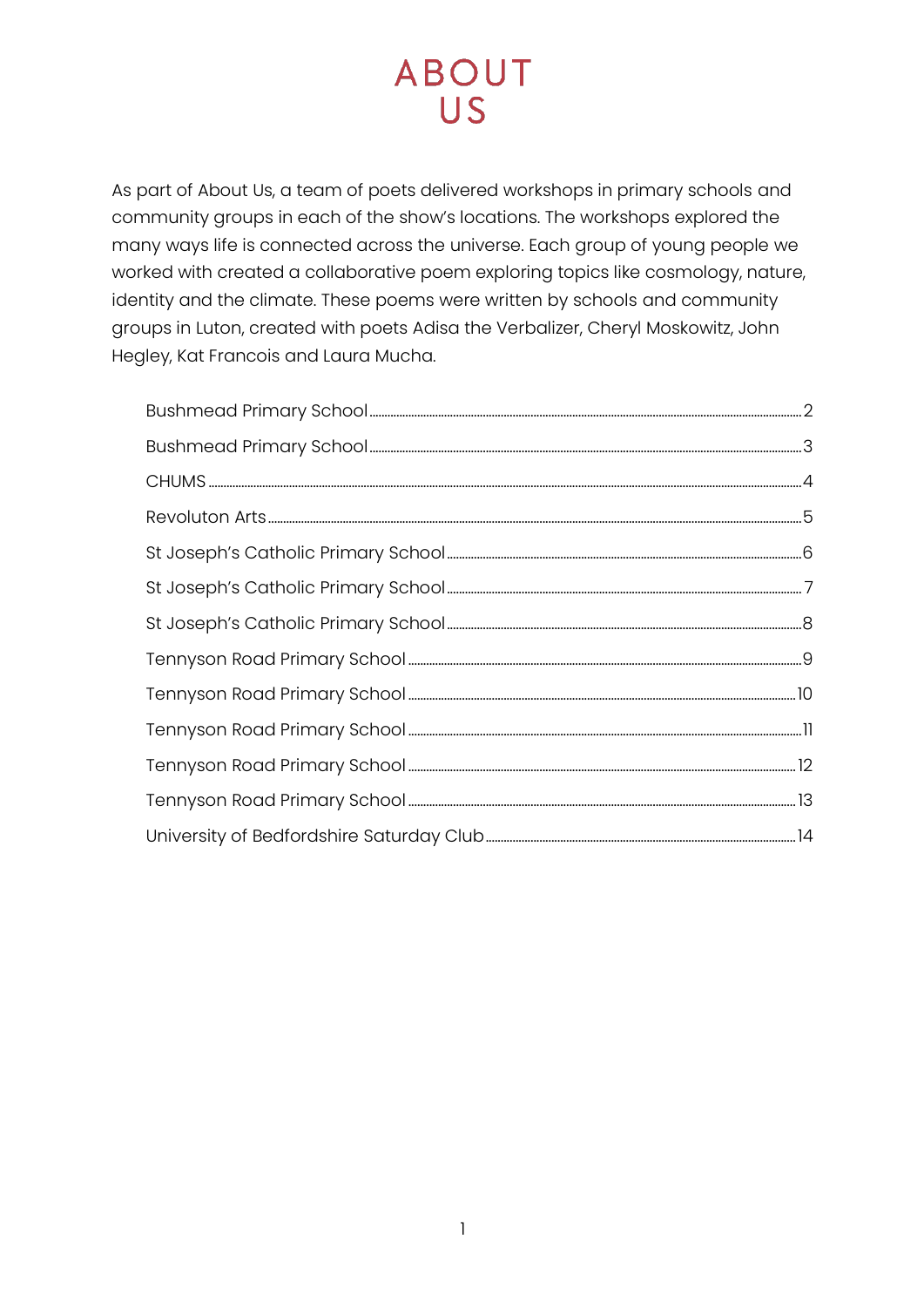As part of About Us, a team of poets delivered workshops in primary schools and community groups in each of the show's locations. The workshops explored the many ways life is connected across the universe. Each group of young people we worked with created a collaborative poem exploring topics like cosmology, nature, identity and the climate. These poems were written by schools and community groups in Luton, created with poets Adisa the Verbalizer, Cheryl Moskowitz, John Hegley, Kat Francois and Laura Mucha.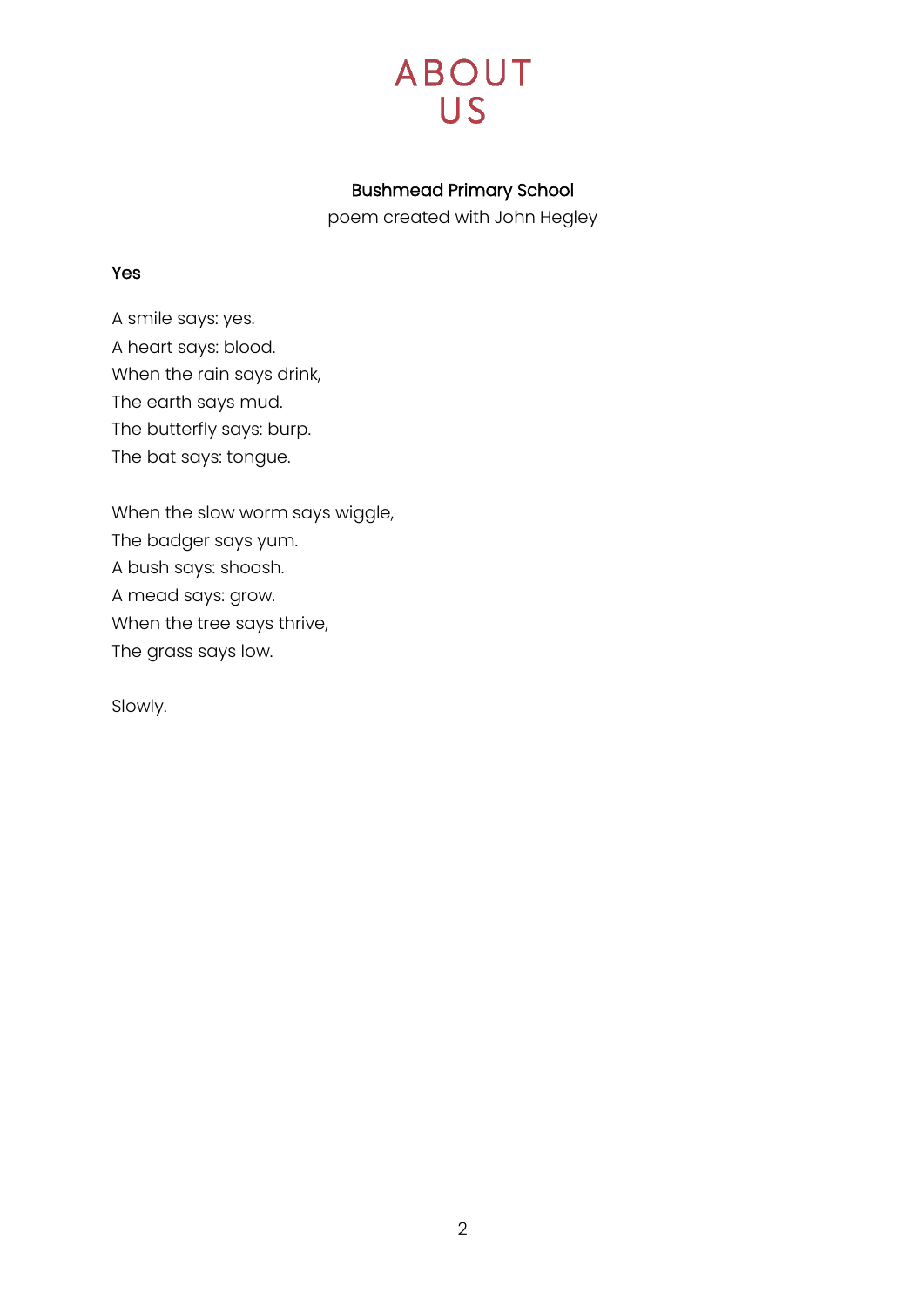

### Bushmead Primary School

poem created with John Hegley

#### <span id="page-1-0"></span>Yes

A smile says: yes. A heart says: blood. When the rain says drink, The earth says mud. The butterfly says: burp. The bat says: tongue.

When the slow worm says wiggle, The badger says yum. A bush says: shoosh. A mead says: grow. When the tree says thrive, The grass says low.

Slowly.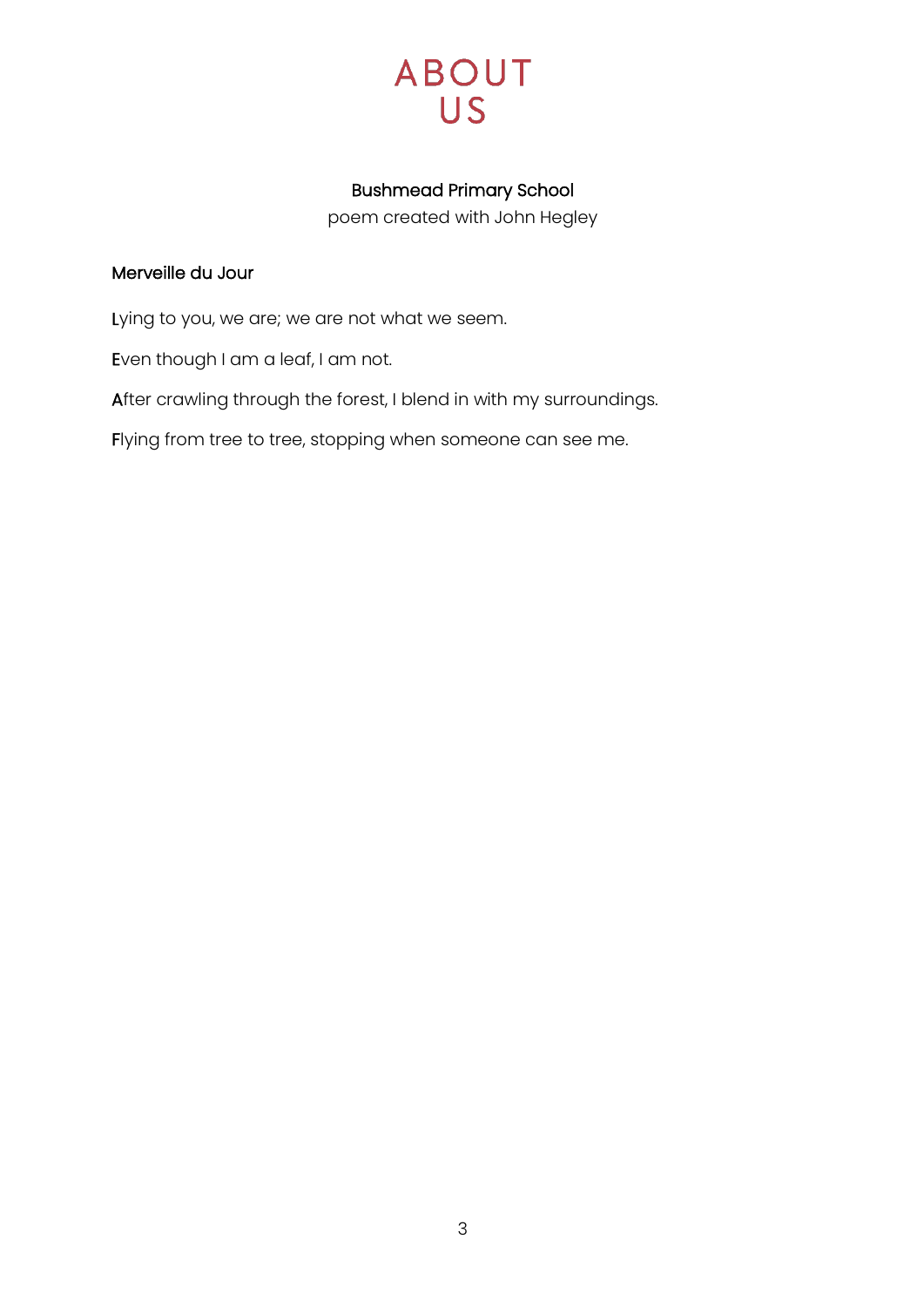

### Bushmead Primary School

poem created with John Hegley

### <span id="page-2-0"></span>Merveille du Jour

Lying to you, we are; we are not what we seem.

Even though I am a leaf, I am not.

After crawling through the forest, I blend in with my surroundings.

Flying from tree to tree, stopping when someone can see me.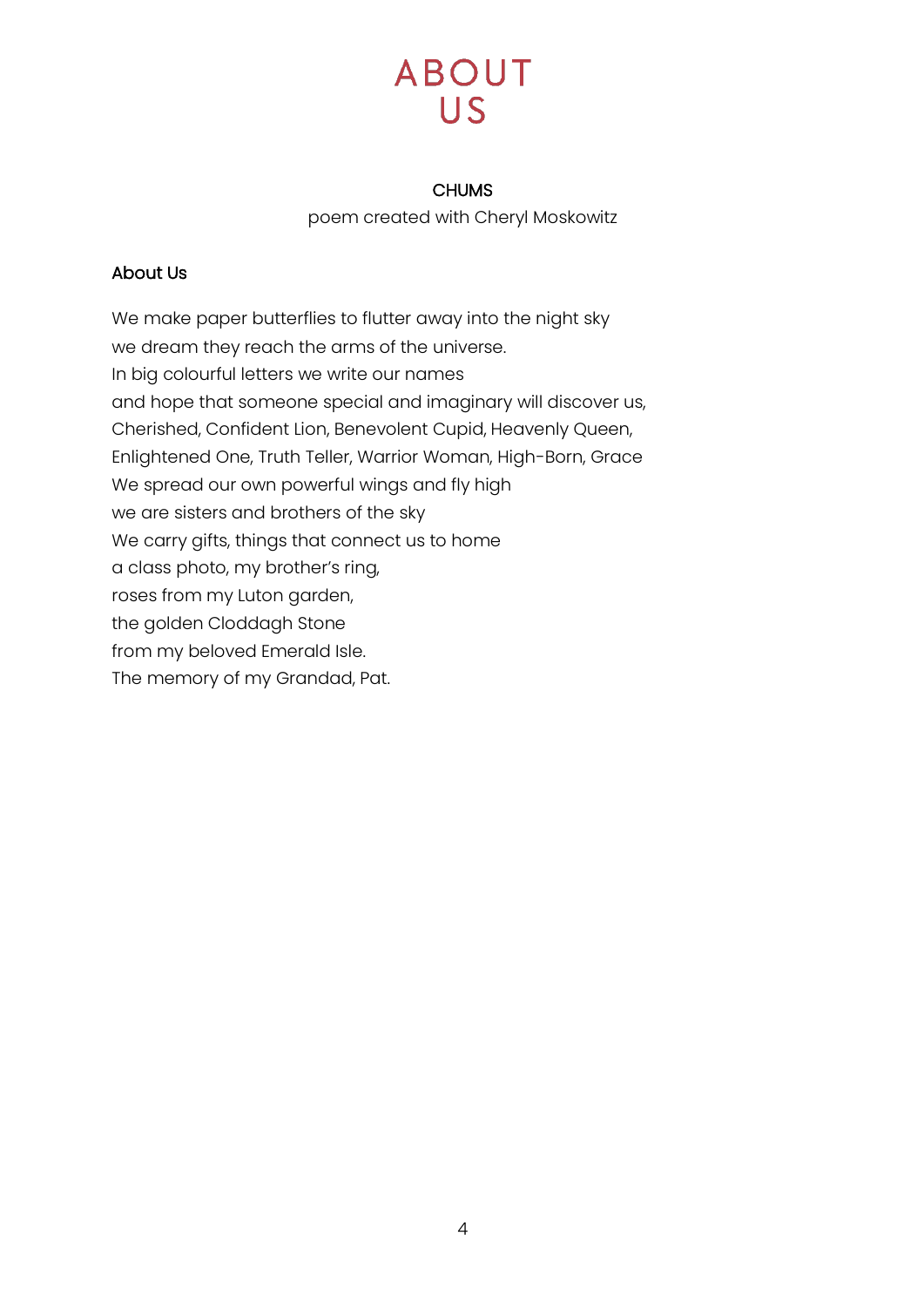#### CHUMS

poem created with Cheryl Moskowitz

#### <span id="page-3-0"></span>About Us

We make paper butterflies to flutter away into the night sky we dream they reach the arms of the universe. In big colourful letters we write our names and hope that someone special and imaginary will discover us, Cherished, Confident Lion, Benevolent Cupid, Heavenly Queen, Enlightened One, Truth Teller, Warrior Woman, High-Born, Grace We spread our own powerful wings and fly high we are sisters and brothers of the sky We carry gifts, things that connect us to home a class photo, my brother's ring, roses from my Luton garden, the golden Cloddagh Stone from my beloved Emerald Isle. The memory of my Grandad, Pat.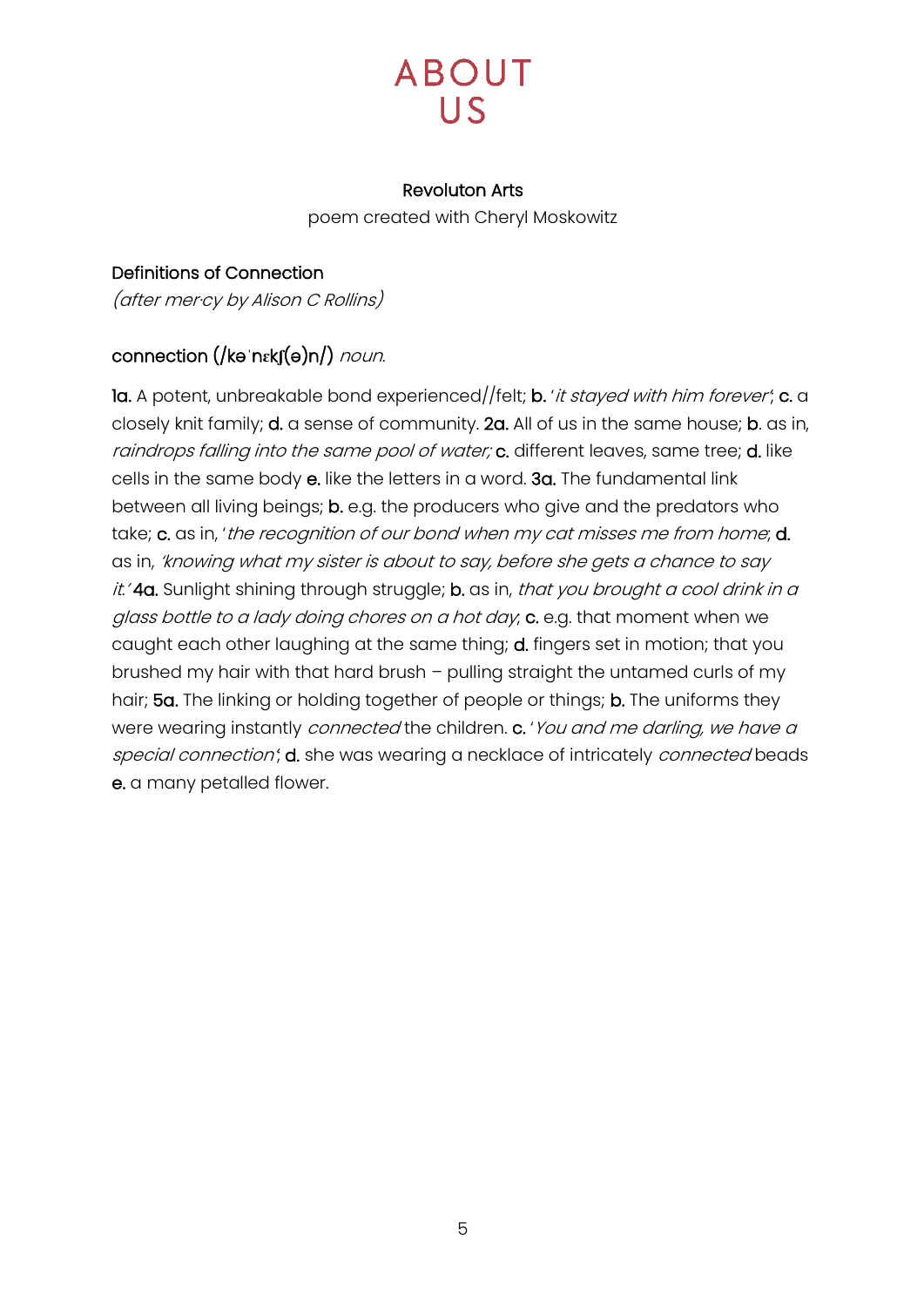# **ABOUT**

#### Revoluton Arts

poem created with Cheryl Moskowitz

<span id="page-4-0"></span>Definitions of Connection (after mer·cy by Alison C Rollins)

### connection (/kə**ˈ**n**ɛ**k**ʃ**(ə)n/) noun.

la. A potent, unbreakable bond experienced//felt; b. 'it stayed with him forever'; c. a closely knit family; d. a sense of community. 2a. All of us in the same house; b. as in, raindrops falling into the same pool of water; c. different leaves, same tree; d. like cells in the same body e. like the letters in a word. 3a. The fundamental link between all living beings; b. e.g. the producers who give and the predators who take; c. as in, 'the recognition of our bond when my cat misses me from home; d. as in, 'knowing what my sister is about to say, before she gets a chance to say it.' 4a. Sunlight shining through struggle; b. as in, that you brought a cool drink in a glass bottle to a lady doing chores on a hot day, c. e.g. that moment when we caught each other laughing at the same thing; **d.** fingers set in motion; that you brushed my hair with that hard brush – pulling straight the untamed curls of my hair; 5a. The linking or holding together of people or things; b. The uniforms they were wearing instantly *connected* the children. c. 'You and me darling, we have a special connection'; d. she was wearing a necklace of intricately connected beads e. a many petalled flower.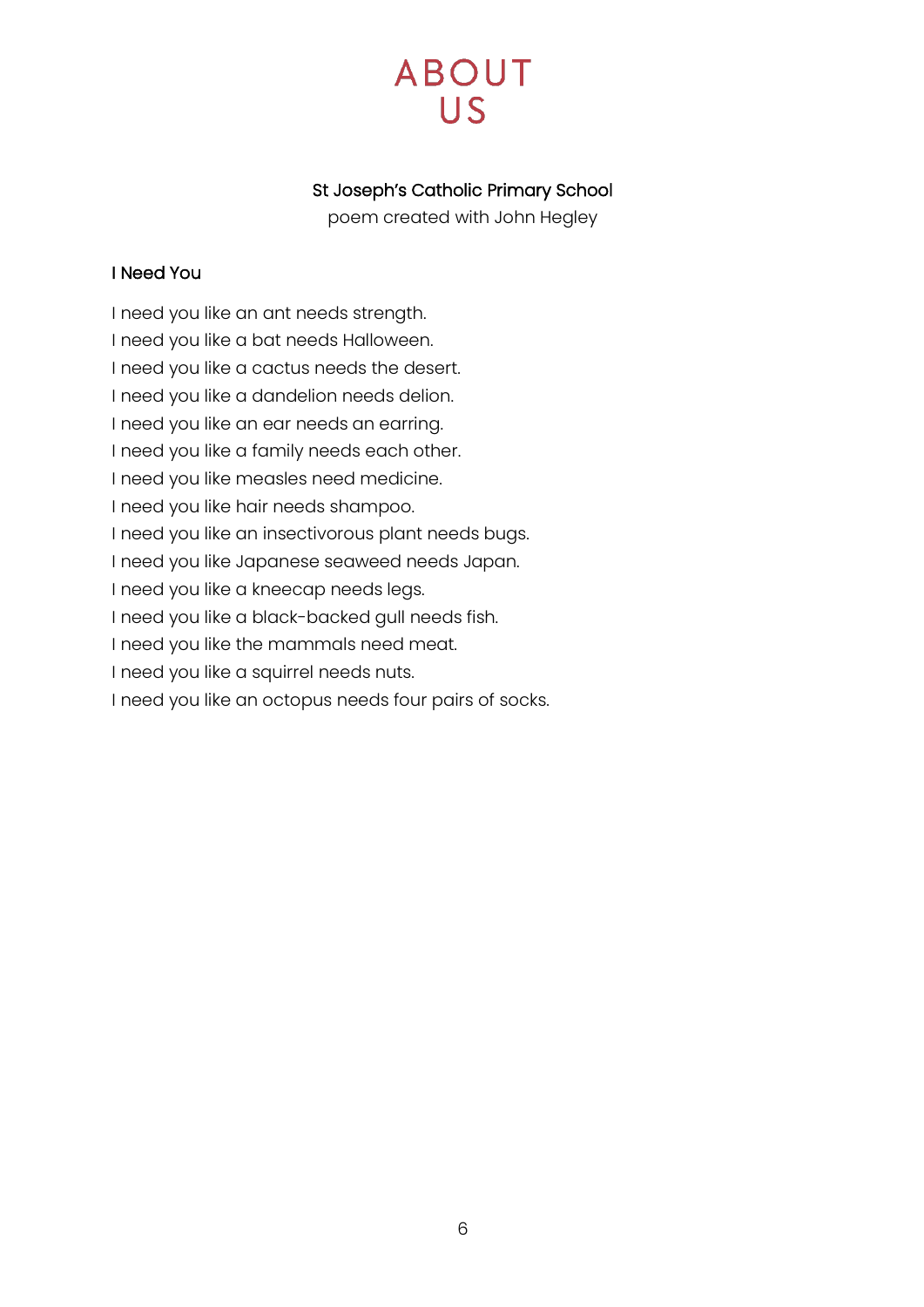# **ABOUT**  $\overline{US}$

### St Joseph's Catholic Primary School

poem created with John Hegley

#### <span id="page-5-0"></span>I Need You

I need you like an ant needs strength.

I need you like a bat needs Halloween.

I need you like a cactus needs the desert.

I need you like a dandelion needs delion.

I need you like an ear needs an earring.

I need you like a family needs each other.

I need you like measles need medicine.

I need you like hair needs shampoo.

I need you like an insectivorous plant needs bugs.

I need you like Japanese seaweed needs Japan.

I need you like a kneecap needs legs.

I need you like a black-backed gull needs fish.

I need you like the mammals need meat.

I need you like a squirrel needs nuts.

I need you like an octopus needs four pairs of socks.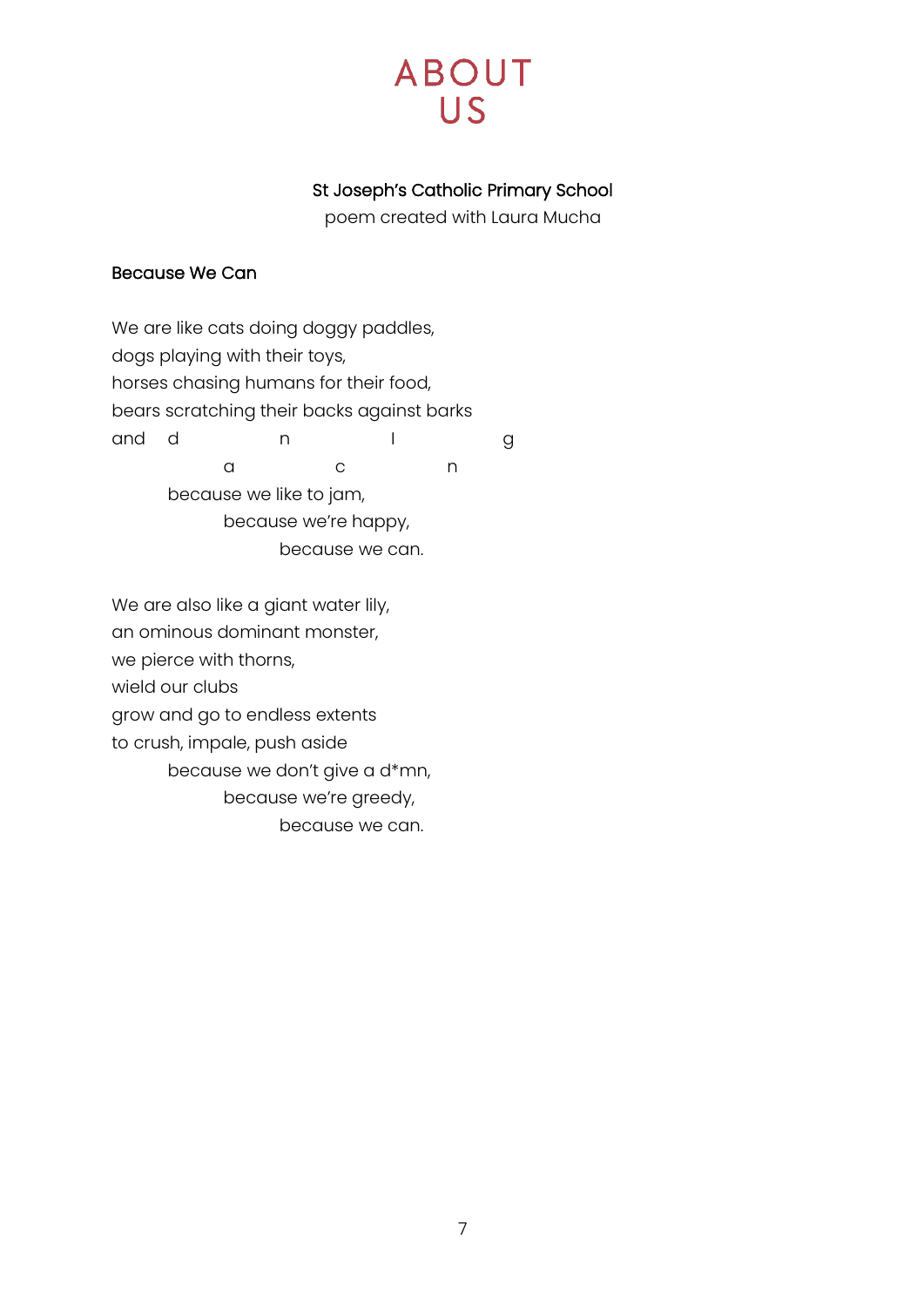### St Joseph's Catholic Primary School

poem created with Laura Mucha

#### <span id="page-6-0"></span>Because We Can

We are like cats doing doggy paddles, dogs playing with their toys, horses chasing humans for their food, bears scratching their backs against barks and d n I g a c n because we like to jam, because we're happy, because we can.

We are also like a giant water lily, an ominous dominant monster, we pierce with thorns, wield our clubs grow and go to endless extents to crush, impale, push aside because we don't give a d\*mn, because we're greedy, because we can.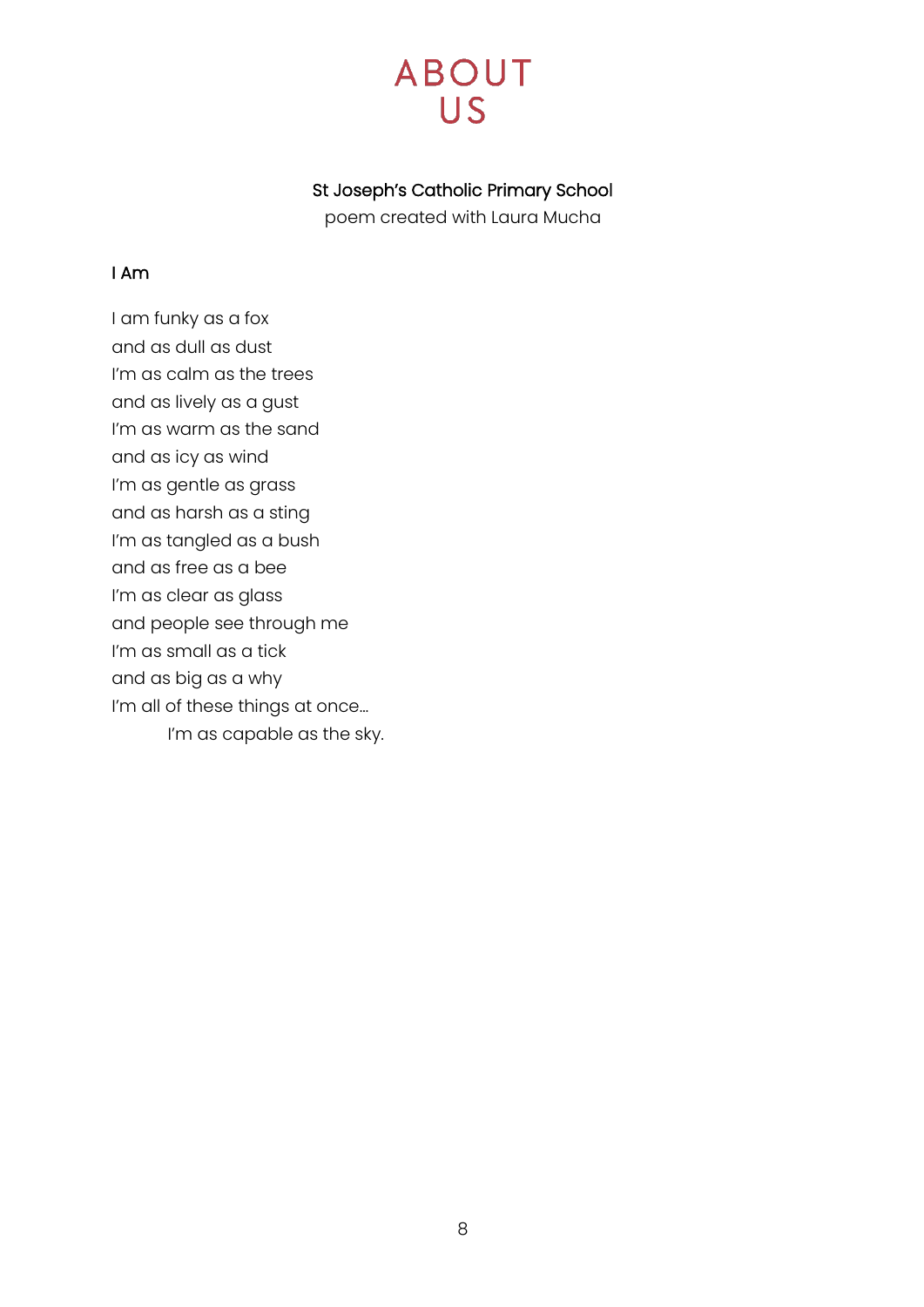### St Joseph's Catholic Primary School

poem created with Laura Mucha

#### <span id="page-7-0"></span>I Am

I am funky as a fox and as dull as dust I'm as calm as the trees and as lively as a gust I'm as warm as the sand and as icy as wind I'm as gentle as grass and as harsh as a sting I'm as tangled as a bush and as free as a bee I'm as clear as glass and people see through me I'm as small as a tick and as big as a why I'm all of these things at once...

I'm as capable as the sky.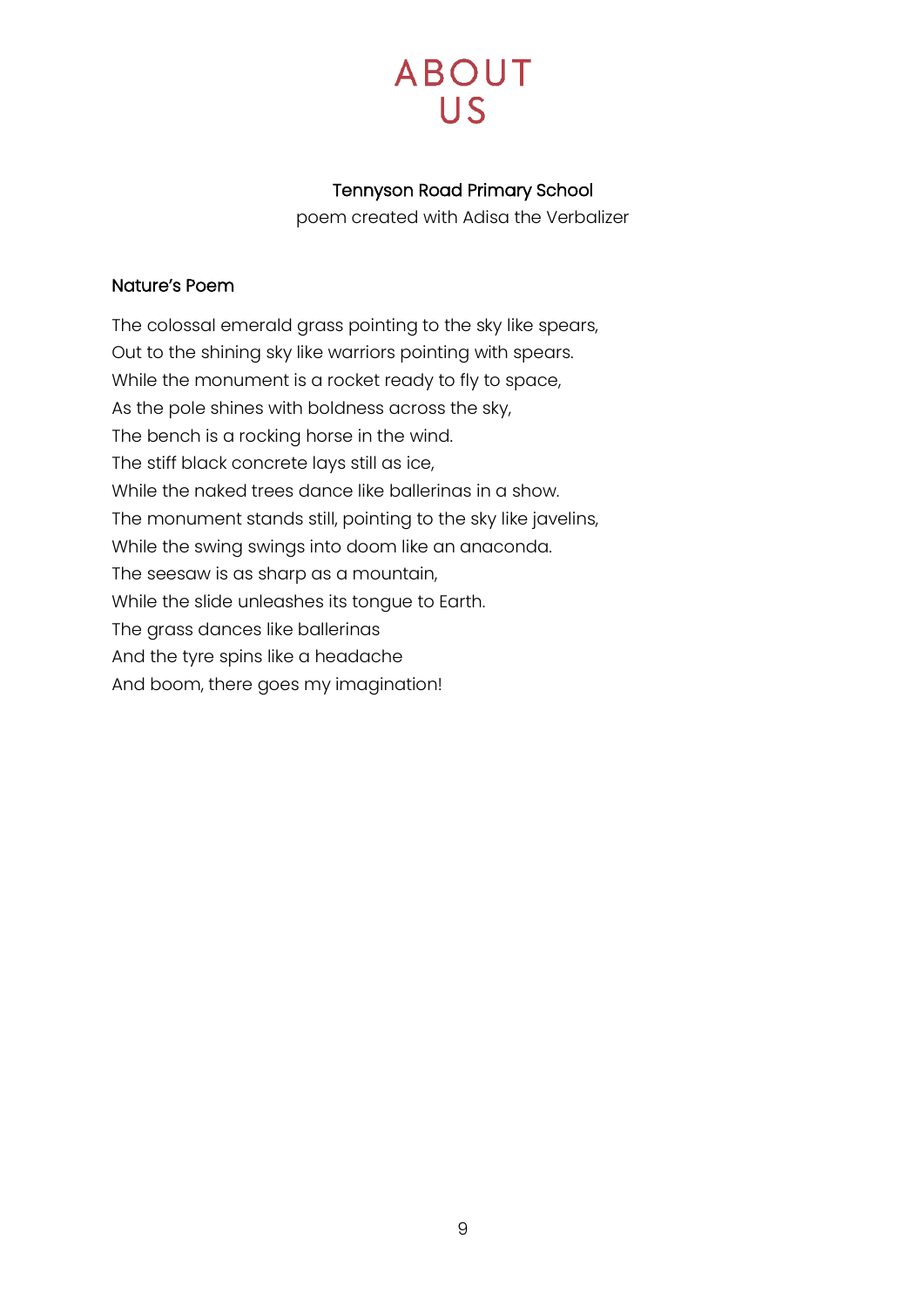### Tennyson Road Primary School

poem created with Adisa the Verbalizer

#### <span id="page-8-0"></span>Nature's Poem

The colossal emerald grass pointing to the sky like spears, Out to the shining sky like warriors pointing with spears. While the monument is a rocket ready to fly to space, As the pole shines with boldness across the sky, The bench is a rocking horse in the wind. The stiff black concrete lays still as ice, While the naked trees dance like ballerinas in a show. The monument stands still, pointing to the sky like javelins, While the swing swings into doom like an anaconda. The seesaw is as sharp as a mountain, While the slide unleashes its tongue to Earth. The grass dances like ballerinas And the tyre spins like a headache And boom, there goes my imagination!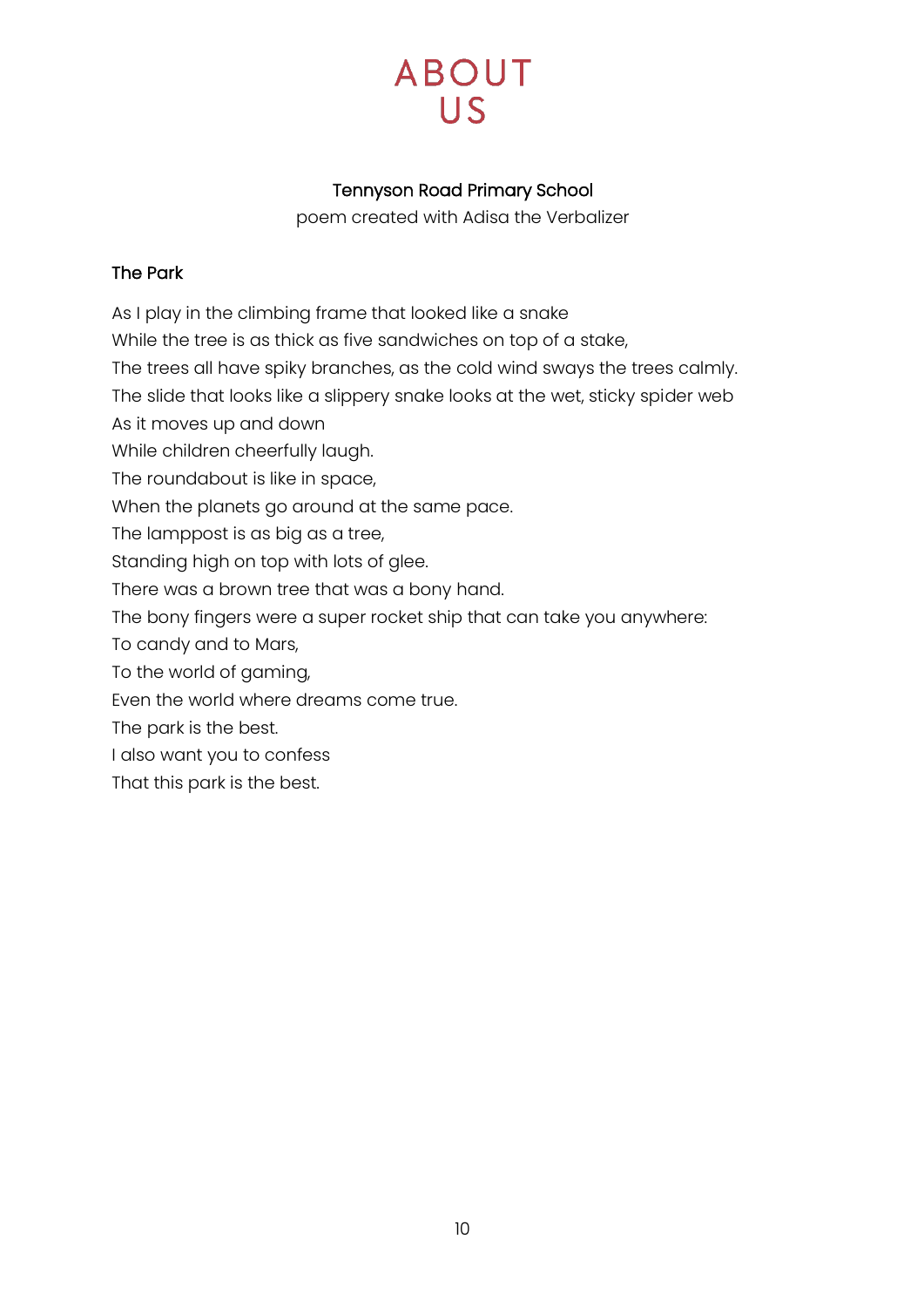### Tennyson Road Primary School

poem created with Adisa the Verbalizer

### <span id="page-9-0"></span>The Park

As I play in the climbing frame that looked like a snake

While the tree is as thick as five sandwiches on top of a stake,

The trees all have spiky branches, as the cold wind sways the trees calmly.

The slide that looks like a slippery snake looks at the wet, sticky spider web

As it moves up and down

While children cheerfully laugh.

The roundabout is like in space,

When the planets go around at the same pace.

The lamppost is as big as a tree,

Standing high on top with lots of glee.

There was a brown tree that was a bony hand.

The bony fingers were a super rocket ship that can take you anywhere:

To candy and to Mars,

To the world of gaming,

Even the world where dreams come true.

The park is the best.

I also want you to confess

That this park is the best.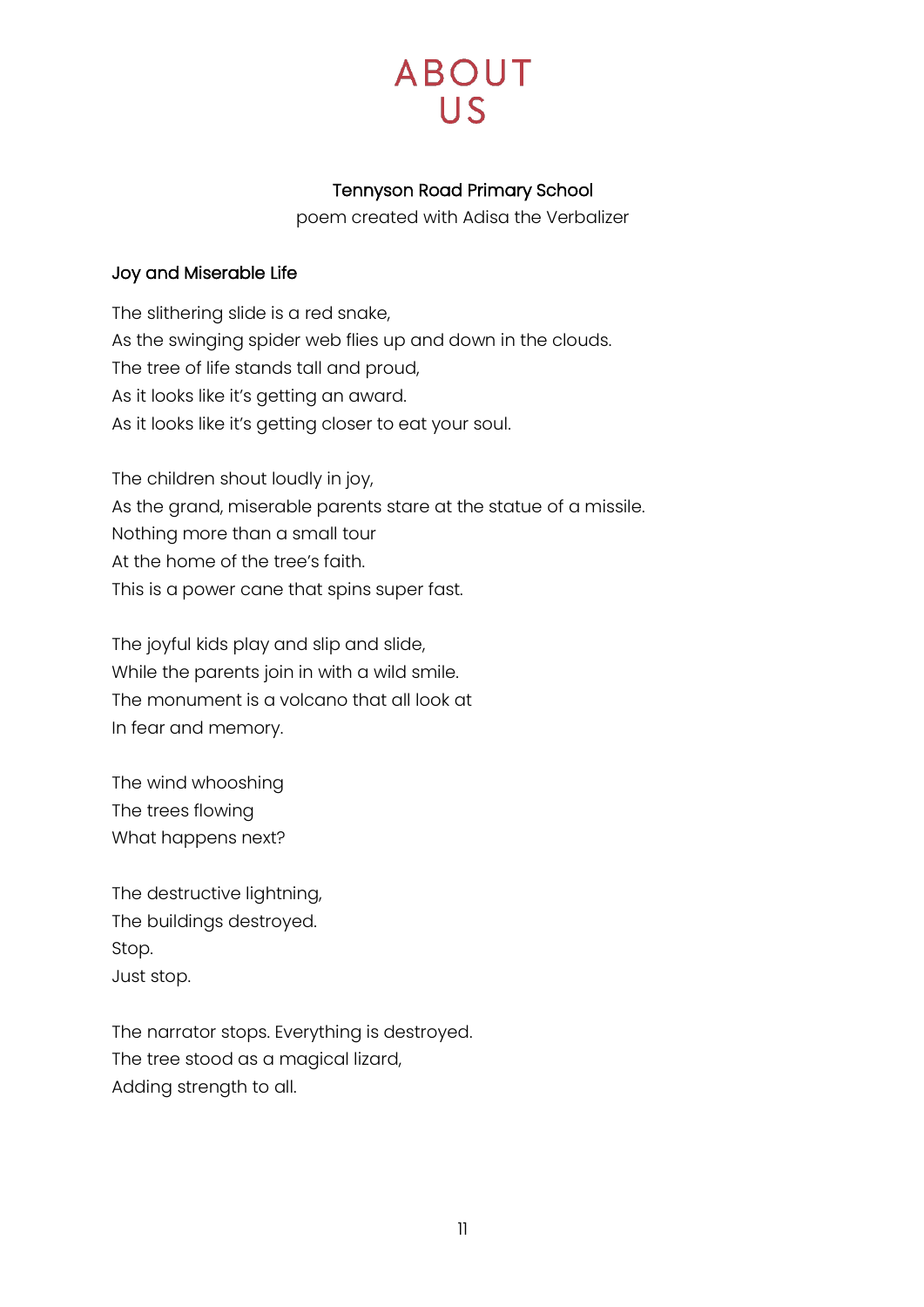### Tennyson Road Primary School

poem created with Adisa the Verbalizer

### <span id="page-10-0"></span>Joy and Miserable Life

The slithering slide is a red snake, As the swinging spider web flies up and down in the clouds. The tree of life stands tall and proud, As it looks like it's getting an award. As it looks like it's getting closer to eat your soul.

The children shout loudly in joy, As the grand, miserable parents stare at the statue of a missile. Nothing more than a small tour At the home of the tree's faith. This is a power cane that spins super fast.

The joyful kids play and slip and slide, While the parents join in with a wild smile. The monument is a volcano that all look at In fear and memory.

The wind whooshing The trees flowing What happens next?

The destructive lightning, The buildings destroyed. Stop. Just stop.

The narrator stops. Everything is destroyed. The tree stood as a magical lizard, Adding strength to all.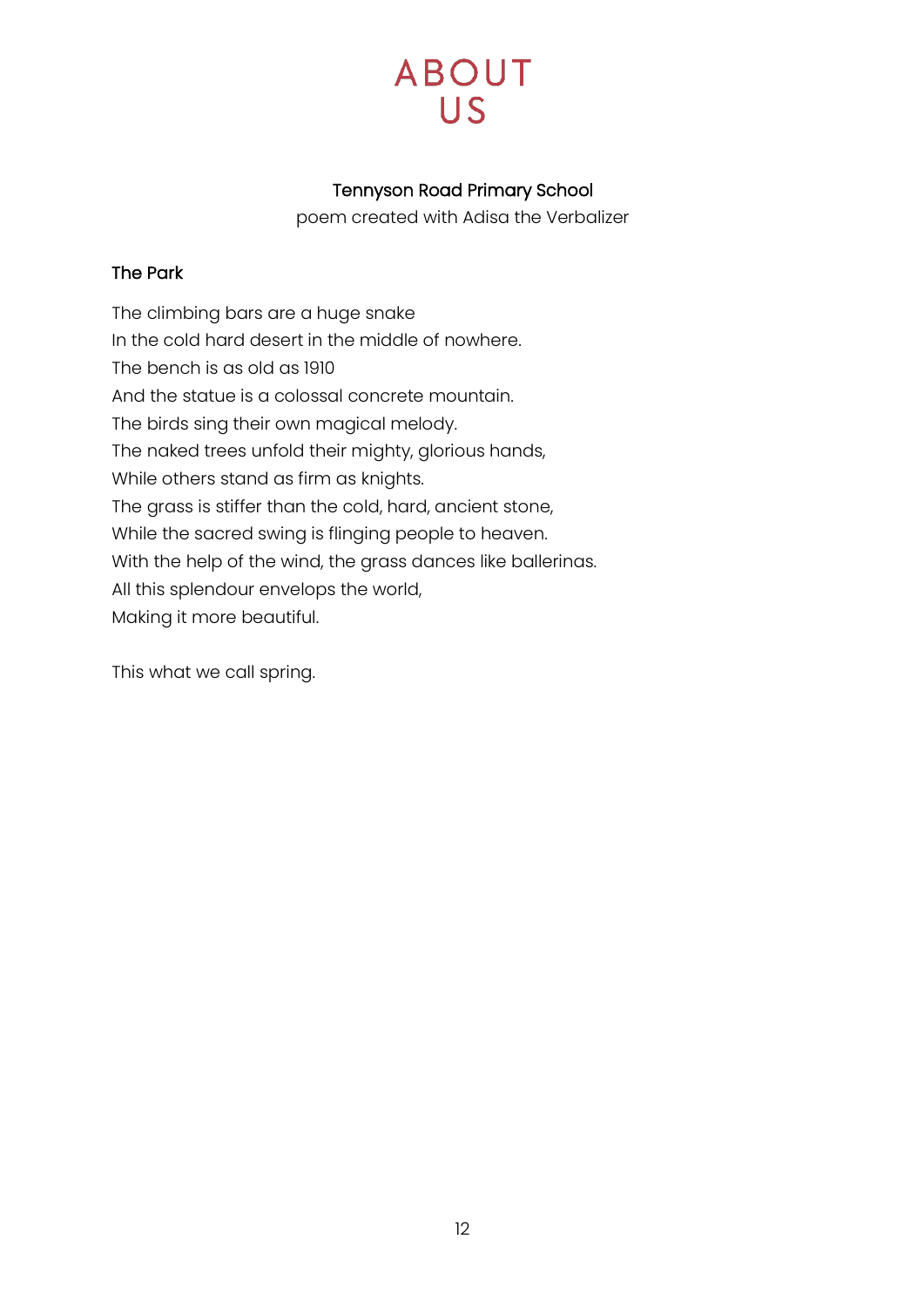### Tennyson Road Primary School

poem created with Adisa the Verbalizer

### <span id="page-11-0"></span>The Park

The climbing bars are a huge snake In the cold hard desert in the middle of nowhere. The bench is as old as 1910 And the statue is a colossal concrete mountain. The birds sing their own magical melody. The naked trees unfold their mighty, glorious hands, While others stand as firm as knights. The grass is stiffer than the cold, hard, ancient stone, While the sacred swing is flinging people to heaven. With the help of the wind, the grass dances like ballerinas. All this splendour envelops the world, Making it more beautiful.

This what we call spring.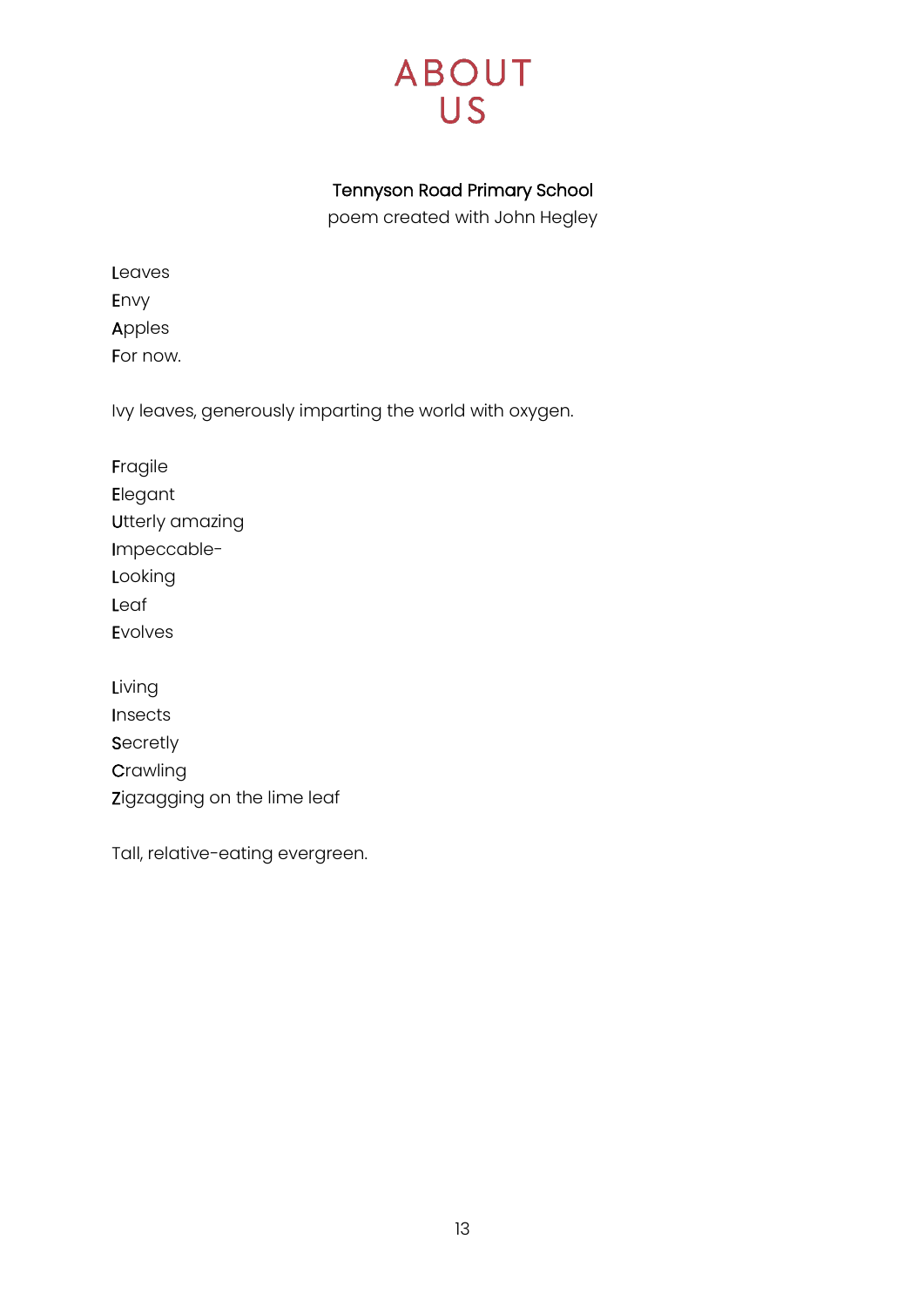# **ABOUT** US<sup></sup>

### Tennyson Road Primary School

poem created with John Hegley

<span id="page-12-0"></span>

| Leaves   |
|----------|
| Envy     |
| Apples   |
| For now. |

Ivy leaves, generously imparting the world with oxygen.

Fragile Elegant Utterly amazing Impeccable-Looking Leaf Evolves

Living Insects **Secretly Crawling** Zigzagging on the lime leaf

Tall, relative-eating evergreen.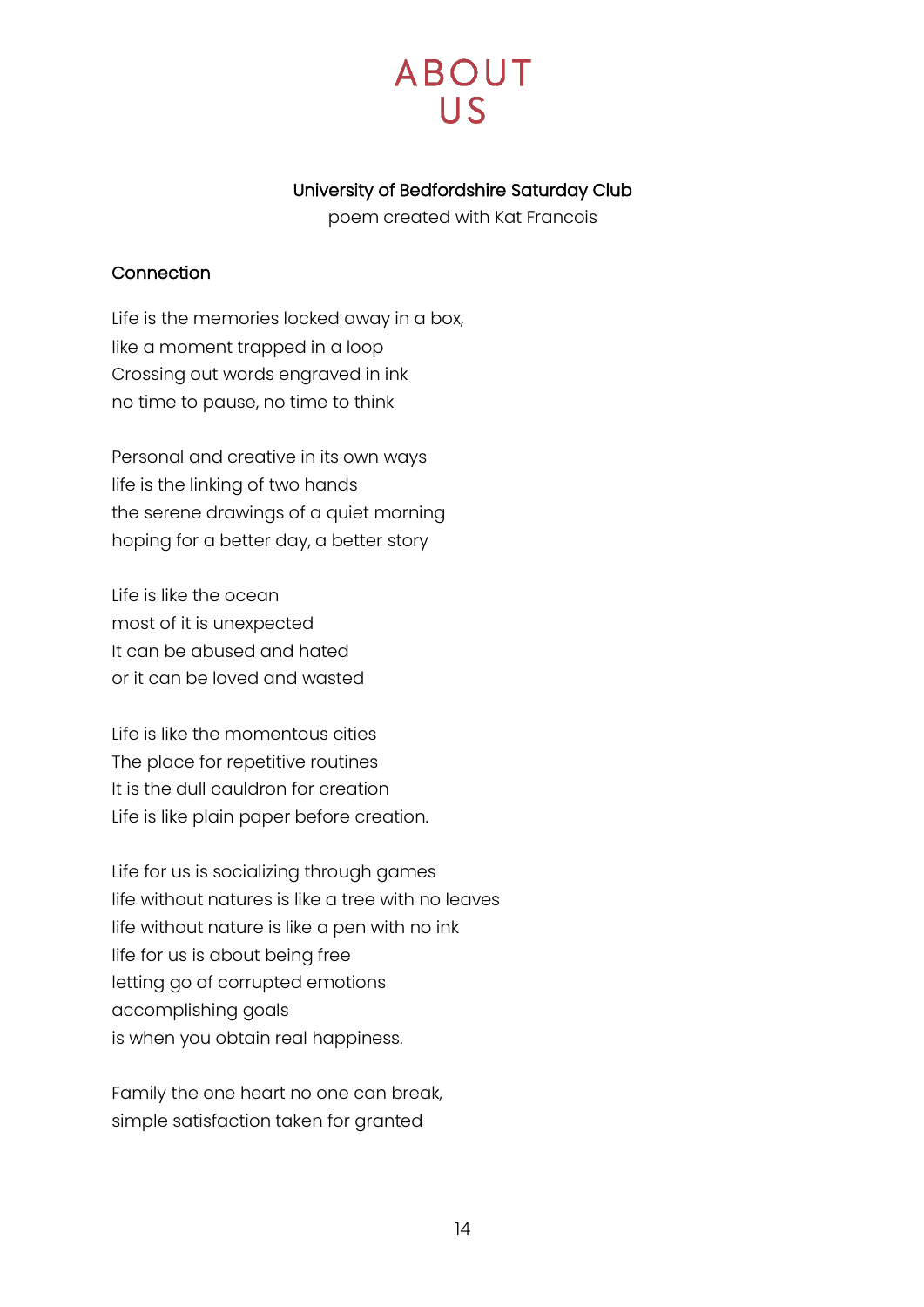# **ABOUT**  $\overline{L}$

### University of Bedfordshire Saturday Club

poem created with Kat Francois

#### <span id="page-13-0"></span>Connection

Life is the memories locked away in a box, like a moment trapped in a loop Crossing out words engraved in ink no time to pause, no time to think

Personal and creative in its own ways life is the linking of two hands the serene drawings of a quiet morning hoping for a better day, a better story

Life is like the ocean most of it is unexpected It can be abused and hated or it can be loved and wasted

Life is like the momentous cities The place for repetitive routines It is the dull cauldron for creation Life is like plain paper before creation.

Life for us is socializing through games life without natures is like a tree with no leaves life without nature is like a pen with no ink life for us is about being free letting go of corrupted emotions accomplishing goals is when you obtain real happiness.

Family the one heart no one can break, simple satisfaction taken for granted